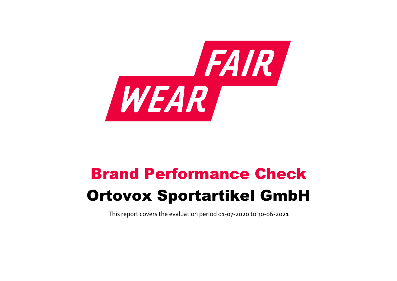

# Brand Performance Check Ortovox Sportartikel GmbH

This report covers the evaluation period 01‐07‐2020 to 30‐06‐2021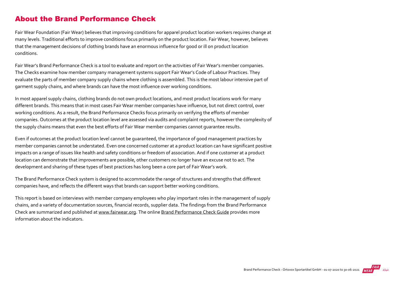### About the Brand Performance Check

Fair Wear Foundation (Fair Wear) believes that improving conditions for apparel product location workers requires change at many levels. Traditional efforts to improve conditions focus primarily on the product location. Fair Wear, however, believes that the management decisions of clothing brands have an enormous influence for good or ill on product location conditions.

Fair Wear's Brand Performance Check is a tool to evaluate and report on the activities of Fair Wear's member companies. The Checks examine how member company management systems support Fair Wear's Code of Labour Practices. They evaluate the parts of member company supply chains where clothing is assembled. This is the most labour intensive part of garment supply chains, and where brands can have the most influence over working conditions.

In most apparel supply chains, clothing brands do not own product locations, and most product locations work for many different brands. This means that in most cases Fair Wear member companies have influence, but not direct control, over working conditions. As a result, the Brand Performance Checks focus primarily on verifying the efforts of member companies. Outcomes at the product location level are assessed via audits and complaint reports, however the complexity of the supply chains means that even the best efforts of Fair Wear member companies cannot guarantee results.

Even if outcomes at the product location level cannot be guaranteed, the importance of good management practices by member companies cannot be understated. Even one concerned customer at a product location can have significant positive impacts on a range of issues like health and safety conditions or freedom of association. And if one customer at a product location can demonstrate that improvements are possible, other customers no longer have an excuse not to act. The development and sharing of these types of best practices has long been a core part of Fair Wear's work.

The Brand Performance Check system is designed to accommodate the range of structures and strengths that different companies have, and reflects the different ways that brands can support better working conditions.

This report is based on interviews with member company employees who play important roles in the management of supply chains, and a variety of documentation sources, financial records, supplier data. The findings from the Brand Performance Check are summarized and published at [www.fairwear.org](http://www.fairwear.org/). The online [Brand Performance Check Guide](https://api.fairwear.org/wp-content/uploads/2020/03/FWF_BrandPerformanceCheckGuide-DEF.pdf) provides more information about the indicators.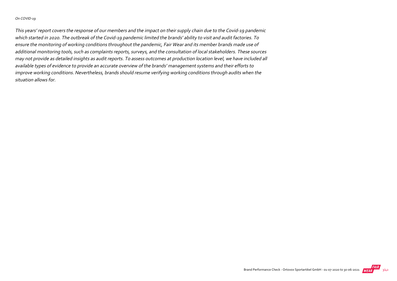#### On COVID‐19

This years' report covers the response of our members and the impact on their supply chain due to the Covid‐19 pandemic which started in 2020. The outbreak of the Covid‐19 pandemic limited the brands' ability to visit and audit factories. To ensure the monitoring of working conditions throughout the pandemic, Fair Wear and its member brands made use of additional monitoring tools, such as complaints reports, surveys, and the consultation of local stakeholders. These sources may not provide as detailed insights as audit reports. To assess outcomes at production location level, we have included all available types of evidence to provide an accurate overview of the brands' management systems and their efforts to improve working conditions. Nevertheless, brands should resume verifying working conditions through audits when the situation allows for.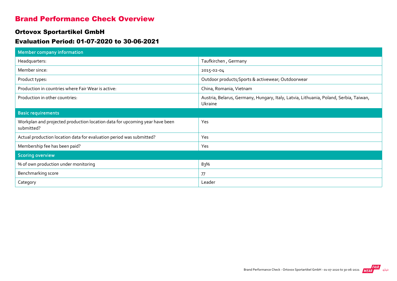### Brand Performance Check Overview

#### Ortovox Sportartikel GmbH

#### Evaluation Period: 01-07-2020 to 30-06-2021

| <b>Member company information</b>                                                         |                                                                                                  |
|-------------------------------------------------------------------------------------------|--------------------------------------------------------------------------------------------------|
| Headquarters:                                                                             | Taufkirchen, Germany                                                                             |
| Member since:                                                                             | 2015-02-04                                                                                       |
| Product types:                                                                            | Outdoor products; Sports & activewear; Outdoorwear                                               |
| Production in countries where Fair Wear is active:                                        | China, Romania, Vietnam                                                                          |
| Production in other countries:                                                            | Austria, Belarus, Germany, Hungary, Italy, Latvia, Lithuania, Poland, Serbia, Taiwan,<br>Ukraine |
| <b>Basic requirements</b>                                                                 |                                                                                                  |
| Workplan and projected production location data for upcoming year have been<br>submitted? | Yes                                                                                              |
| Actual production location data for evaluation period was submitted?                      | Yes                                                                                              |
| Membership fee has been paid?                                                             | Yes                                                                                              |
| <b>Scoring overview</b>                                                                   |                                                                                                  |
| % of own production under monitoring                                                      | 83%                                                                                              |
| Benchmarking score                                                                        | 77                                                                                               |
| Category                                                                                  | Leader                                                                                           |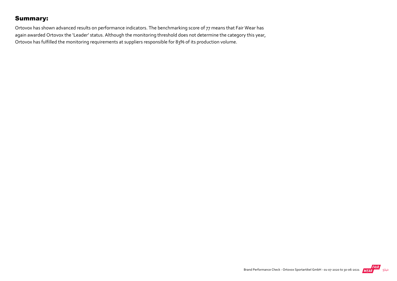### Summary:

Ortovox has shown advanced results on performance indicators. The benchmarking score of 77 means that Fair Wear has again awarded Ortovox the 'Leader' status. Although the monitoring threshold does not determine the category this year, Ortovox has fulfilled the monitoring requirements at suppliers responsible for 83% of its production volume.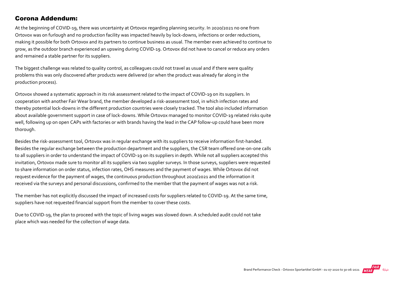#### Corona Addendum:

At the beginning of COVID‐19, there was uncertainty at Ortovox regarding planning security. In 2020/2021 no one from Ortovox was on furlough and no production facility was impacted heavily by lock‐downs, infections or order reductions, making it possible for both Ortovox and its partners to continue business as usual. The member even achieved to continue to grow, as the outdoor branch experienced an upswing during COVID‐19. Ortovox did not have to cancel or reduce any orders and remained a stable partner for its suppliers.

The biggest challenge was related to quality control, as colleagues could not travel as usual and if there were quality problems this was only discovered after products were delivered (or when the product was already far along in the production process).

Ortovox showed a systematic approach in its risk assessment related to the impact of COVID‐19 on its suppliers. In cooperation with another Fair Wear brand, the member developed a risk‐assessment tool, in which infection rates and thereby potential lock‐downs in the different production countries were closely tracked. The tool also included information about available government support in case of lock‐downs. While Ortovox managed to monitor COVID‐19 related risks quite well, following up on open CAPs with factories or with brands having the lead in the CAP follow-up could have been more thorough.

Besides the risk-assessment tool, Ortovox was in regular exchange with its suppliers to receive information first-handed. Besides the regular exchange between the production department and the suppliers, the CSR team offered one‐on‐one calls to all suppliers in order to understand the impact of COVID-19 on its suppliers in depth. While not all suppliers accepted this invitation, Ortovox made sure to monitor all its suppliers via two supplier surveys. In those surveys, suppliers were requested to share information on order status, infection rates, OHS measures and the payment of wages. While Ortovox did not request evidence for the payment of wages, the continuous production throughout 2020/2021 and the information it received via the surveys and personal discussions, confirmed to the member that the payment of wages was not a risk.

The member has not explicitly discussed the impact of increased costs for suppliers related to COVID-19. At the same time, suppliers have not requested financial support from the member to cover these costs.

Due to COVID-19, the plan to proceed with the topic of living wages was slowed down. A scheduled audit could not take place which was needed for the collection of wage data.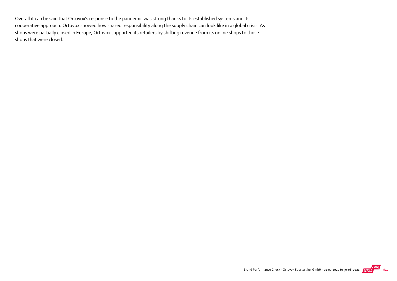Overall it can be said that Ortovox's response to the pandemic was strong thanks to its established systems and its cooperative approach. Ortovox showed how shared responsibility along the supply chain can look like in a global crisis. As shops were partially closed in Europe, Ortovox supported its retailers by shifting revenue from its online shops to those shops that were closed.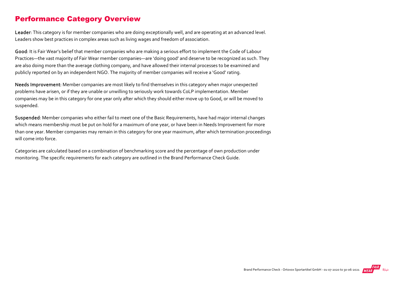### Performance Category Overview

Leader: This category is for member companies who are doing exceptionally well, and are operating at an advanced level. Leaders show best practices in complex areas such as living wages and freedom of association.

Good: It is Fair Wear's belief that member companies who are making a serious effort to implement the Code of Labour Practices—the vast majority of Fair Wear member companies—are 'doing good' and deserve to be recognized as such. They are also doing more than the average clothing company, and have allowed their internal processes to be examined and publicly reported on by an independent NGO. The majority of member companies will receive a 'Good' rating.

Needs Improvement: Member companies are most likely to find themselves in this category when major unexpected problems have arisen, or if they are unable or unwilling to seriously work towards CoLP implementation. Member companies may be in this category for one year only after which they should either move up to Good, or will be moved to suspended.

Suspended: Member companies who either fail to meet one of the Basic Requirements, have had major internal changes which means membership must be put on hold for a maximum of one year, or have been in Needs Improvement for more than one year. Member companies may remain in this category for one year maximum, after which termination proceedings will come into force.

Categories are calculated based on a combination of benchmarking score and the percentage of own production under monitoring. The specific requirements for each category are outlined in the Brand Performance Check Guide.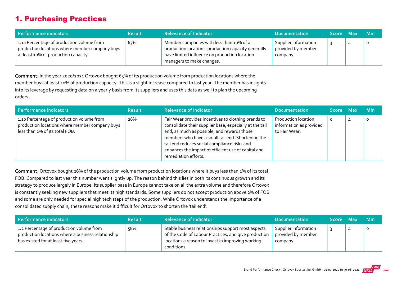# 1. Purchasing Practices

| Performance indicators                                                                                                              | <b>Result</b> | <b>Relevance of Indicator</b>                                                                                                                                                 | <b>Documentation</b>                                   | Score Max | <b>Min</b> |
|-------------------------------------------------------------------------------------------------------------------------------------|---------------|-------------------------------------------------------------------------------------------------------------------------------------------------------------------------------|--------------------------------------------------------|-----------|------------|
| 1.1a Percentage of production volume from<br>production locations where member company buys<br>at least 10% of production capacity. | 63%           | Member companies with less than 10% of a<br>production location's production capacity generally<br>have limited influence on production location<br>managers to make changes. | Supplier information<br>provided by member<br>company. |           | $\circ$    |

Comment: In the year 2020/2021 Ortovox bought 63% of its production volume from production locations where the member buys at least 10% of production capacity. This is a slight increase compared to last year. The member has insights into its leverage by requesting data on a yearly basis from its suppliers and uses this data as well to plan the upcoming orders.

| Performance indicators                                                                                                        | <b>Result</b> | <b>Relevance of Indicator</b>                                                                                                                                                                                                                                                                                                                     | <b>Documentation</b>                                                   | Score Max |   | <b>Min</b> |
|-------------------------------------------------------------------------------------------------------------------------------|---------------|---------------------------------------------------------------------------------------------------------------------------------------------------------------------------------------------------------------------------------------------------------------------------------------------------------------------------------------------------|------------------------------------------------------------------------|-----------|---|------------|
| 1.1b Percentage of production volume from<br>production locations where member company buys<br>less than 2% of its total FOB. | 26%           | Fair Wear provides incentives to clothing brands to<br>consolidate their supplier base, especially at the tail<br>end, as much as possible, and rewards those<br>members who have a small tail end. Shortening the<br>tail end reduces social compliance risks and<br>enhances the impact of efficient use of capital and<br>remediation efforts. | <b>Production location</b><br>information as provided<br>to Fair Wear. | $\circ$   | 4 | $\circ$    |

Comment: Ortovox bought 26% of the production volume from production locations where it buys less than 2% of its total FOB. Compared to last year this number went slightly up. The reason behind this lies in both its continuous growth and its strategy to produce largely in Europe. Its supplier base in Europe cannot take on all the extra volume and therefore Ortovox is constantly seeking new suppliers that meet its high standards. Some suppliers do not accept production above 2% of FOB and some are only needed for special high tech steps of the production. While Ortovox understands the importance of a consolidated supply chain, these reasons make it difficult for Ortovox to shorten the 'tail end'.

| Performance indicators                                                                                                                 | <b>Result</b> | <b>Relevance of Indicator</b>                                                                                                                                                  | <b>Documentation</b>                                   | <b>Score</b> | / Max | <b>Min</b> |
|----------------------------------------------------------------------------------------------------------------------------------------|---------------|--------------------------------------------------------------------------------------------------------------------------------------------------------------------------------|--------------------------------------------------------|--------------|-------|------------|
| 1.2 Percentage of production volume from<br>production locations where a business relationship<br>has existed for at least five years. | 58%           | Stable business relationships support most aspects<br>of the Code of Labour Practices, and give production<br>locations a reason to invest in improving working<br>conditions. | Supplier information<br>provided by member<br>company. |              |       | 0          |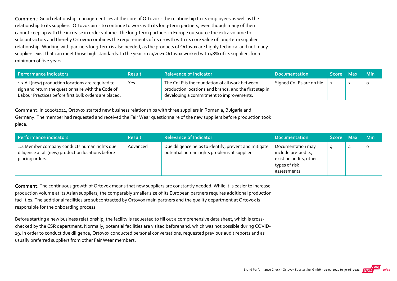Comment: Good relationship management lies at the core of Ortovox - the relationship to its employees as well as the relationship to its suppliers. Ortovox aims to continue to work with its long‐term partners, even though many of them cannot keep up with the increase in order volume. The long‐term partners in Europe outsource the extra volume to subcontractors and thereby Ortovox combines the requirements of its growth with its core value of long-term supplier relationship. Working with partners long‐term is also needed, as the products of Ortovox are highly technical and not many suppliers exist that can meet those high standards. In the year 2020/2021 Ortovox worked with 58% of its suppliers for a minimum of five years.

| <b>Performance indicators</b>                                                                                                                                             | <b>Result</b> | <b>Relevance of Indicator</b>                                                                                                                        | <b>Documentation</b>      | Score Max |   | -Min |
|---------------------------------------------------------------------------------------------------------------------------------------------------------------------------|---------------|------------------------------------------------------------------------------------------------------------------------------------------------------|---------------------------|-----------|---|------|
| $\perp$ 1.3 All (new) production locations are required to<br>sign and return the questionnaire with the Code of<br>Labour Practices before first bulk orders are placed. | Yes           | The CoLP is the foundation of all work between<br>production locations and brands, and the first step in<br>developing a commitment to improvements. | Signed CoLPs are on file. |           | ▴ |      |

Comment: In 2020/2021, Ortovox started new business relationships with three suppliers in Romania, Bulgaria and Germany. The member had requested and received the Fair Wear questionnaire of the new suppliers before production took place.

| Performance indicators                                                                                                | <b>Result</b> | <b>Relevance of Indicator</b>                                                                          | <b>Documentation</b>                                                                                | Score Max | Min     |
|-----------------------------------------------------------------------------------------------------------------------|---------------|--------------------------------------------------------------------------------------------------------|-----------------------------------------------------------------------------------------------------|-----------|---------|
| 1.4 Member company conducts human rights due<br>diligence at all (new) production locations before<br>placing orders. | Advanced      | Due diligence helps to identify, prevent and mitigate<br>potential human rights problems at suppliers. | Documentation may<br>include pre-audits,<br>existing audits, other<br>types of risk<br>assessments. |           | $\circ$ |

Comment: The continuous growth of Ortovox means that new suppliers are constantly needed. While it is easier to increase production volume at its Asian suppliers, the comparably smaller size of its European partners requires additional production facilities. The additional facilities are subcontracted by Ortovox main partners and the quality department at Ortovox is responsible for the onboarding process.

Before starting a new business relationship, the facility is requested to fill out a comprehensive data sheet, which is crosschecked by the CSR department. Normally, potential facilities are visited beforehand, which was not possible during COVID‐ 19. In order to conduct due diligence, Ortovox conducted personal conversations, requested previous audit reports and as usually preferred suppliers from other Fair Wear members.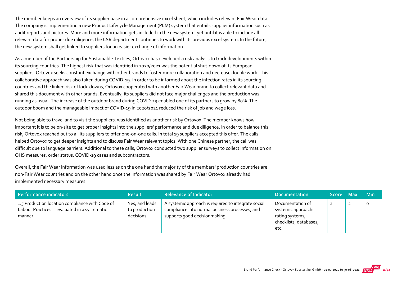The member keeps an overview of its supplier base in a comprehensive excel sheet, which includes relevant Fair Wear data. The company is implementing a new Product Lifecycle Management (PLM) system that entails supplier information such as audit reports and pictures. More and more information gets included in the new system, yet until it is able to include all relevant data for proper due diligence, the CSR department continues to work with its previous excel system. In the future, the new system shall get linked to suppliers for an easier exchange of information.

As a member of the Partnership for Sustainable Textiles, Ortovox has developed a risk analysis to track developments within its sourcing countries. The highest risk that was identified in 2020/2021 was the potential shut‐down of its European suppliers. Ortovox seeks constant exchange with other brands to foster more collaboration and decrease double work. This collaborative approach was also taken during COVID‐19. In order to be informed about the infection rates in its sourcing countries and the linked risk of lock‐downs, Ortovox cooperated with another Fair Wear brand to collect relevant data and shared this document with other brands. Eventually, its suppliers did not face major challenges and the production was running as usual. The increase of the outdoor brand during COVID‐19 enabled one of its partners to grow by 80%. The outdoor boom and the manageable impact of COVID‐19 in 2020/2021 reduced the risk of job and wage loss.

Not being able to travel and to visit the suppliers, was identified as another risk by Ortovox. The member knows how important it is to be on‐site to get proper insights into the suppliers' performance and due diligence. In order to balance this risk, Ortovox reached out to all its suppliers to offer one‐on‐one calls. In total 19 suppliers accepted this offer. The calls helped Ortovox to get deeper insights and to discuss Fair Wear relevant topics. With one Chinese partner, the call was difficult due to language barriers. Additional to these calls, Ortovox conducted two supplier surveys to collect information on OHS measures, order status, COVID‐19 cases and subcontractors.

Overall, the Fair Wear information was used less as on the one hand the majority of the members' production countries are non‐Fair Wear countries and on the other hand once the information was shared by Fair Wear Ortovox already had implemented necessary measures.

| Performance indicators                                                                                      | <b>Result</b>                                | <b>Relevance of Indicator</b>                                                                                                          | <b>Documentation</b>                                                                        | <b>Score</b>   | - Max | <b>Min</b> |
|-------------------------------------------------------------------------------------------------------------|----------------------------------------------|----------------------------------------------------------------------------------------------------------------------------------------|---------------------------------------------------------------------------------------------|----------------|-------|------------|
| 1.5 Production location compliance with Code of<br>Labour Practices is evaluated in a systematic<br>manner. | Yes, and leads<br>to production<br>decisions | A systemic approach is required to integrate social<br>compliance into normal business processes, and<br>supports good decisionmaking. | Documentation of<br>systemic approach:<br>rating systems,<br>checklists, databases,<br>etc. | $\overline{2}$ | ◢     | O          |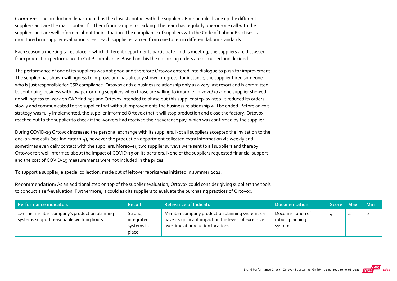Comment: The production department has the closest contact with the suppliers. Four people divide up the different suppliers and are the main contact for them from sample to packing. The team has regularly one-on-one call with the suppliers and are well informed about their situation. The compliance of suppliers with the Code of Labour Practises is monitored in a supplier evaluation sheet. Each supplier is ranked from one to ten in different labour standards.

Each season a meeting takes place in which different departments participate. In this meeting, the suppliers are discussed from production performance to CoLP compliance. Based on this the upcoming orders are discussed and decided.

The performance of one of its suppliers was not good and therefore Ortovox entered into dialogue to push for improvement. The supplier has shown willingness to improve and has already shown progress, for instance, the supplier hired someone who is just responsible for CSR compliance. Ortovox ends a business relationship only as a very last resort and is committed to continuing business with low performing suppliers when those are willing to improve. In 2020/2021 one supplier showed no willingness to work on CAP findings and Ortovox intended to phase out this supplier step‐by‐step. It reduced its orders slowly and communicated to the supplier that without improvements the business relationship will be ended. Before an exit strategy was fully implemented, the supplier informed Ortovox that it will stop production and close the factory. Ortovox reached out to the supplier to check if the workers had received their severance pay, which was confirmed by the supplier.

During COVID‐19 Ortovox increased the personal exchange with its suppliers. Not all suppliers accepted the invitation to the one‐on‐one calls (see indicator 1.4), however the production department collected extra information via weekly and sometimes even daily contact with the suppliers. Moreover, two supplier surveys were sent to all suppliers and thereby Ortovox felt well informed about the impact of COVID‐19 on its partners. None of the suppliers requested financial support and the cost of COVID‐19 measurements were not included in the prices.

To support a supplier, a special collection, made out of leftover fabrics was initiated in summer 2021.

Recommendation: As an additional step on top of the supplier evaluation, Ortovox could consider giving suppliers the tools to conduct a self-evaluation. Furthermore, it could ask its suppliers to evaluate the purchasing practices of Ortovox.

| Performance indicators                                                                    | <b>Result</b>                                 | <b>Relevance of Indicator</b>                                                                                                               | <b>Documentation</b>                            | Score Max | <b>Min</b> |
|-------------------------------------------------------------------------------------------|-----------------------------------------------|---------------------------------------------------------------------------------------------------------------------------------------------|-------------------------------------------------|-----------|------------|
| 1.6 The member company's production planning<br>systems support reasonable working hours. | Strong,<br>integrated<br>systems in<br>place. | Member company production planning systems can<br>have a significant impact on the levels of excessive<br>overtime at production locations. | Documentation of<br>robust planning<br>systems. |           |            |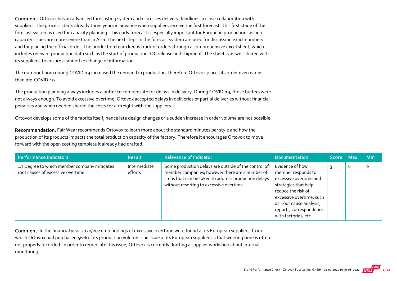Comment: Ortovox has an advanced forecasting system and discusses delivery deadlines in close collaboration with suppliers. The process starts already three years in advance when suppliers receive the first forecast. This first stage of the forecast system is used for capacity planning. This early forecast is especially important for European production, as here capacity issues are more severe than in Asia. The next steps in the forecast system are used for discussing exact numbers and for placing the official order. The production team keeps track of orders through a comprehensive excel sheet, which includes relevant production data such as the start of production, QC release and shipment. The sheet is as well shared with its suppliers, to ensure a smooth exchange of information.

The outdoor boom during COVID‐19 increased the demand in production, therefore Ortovox places its order even earlier than pre‐COVID‐19.

The production planning always includes a buffer to compensate for delays in delivery. During COVID‐19, those buffers were not always enough. To avoid excessive overtime, Ortovox accepted delays in deliveries or partial deliveries without financial penalties and when needed shared the costs for airfreight with the suppliers.

Ortovox develops some of the fabrics itself, hence late design changes or a sudden increase in order volume are not possible.

Recommendation: Fair Wear recommends Ortovox to learn more about the standard minutes per style and how the production of its products impacts the total production capacity of the factory. Therefore it encourages Ortovox to move forward with the open costing template it already had drafted.

| Performance indicators                                                             | <b>Result</b>           | <b>Relevance of Indicator</b>                                                                                                                                                                               | <b>Documentation</b>                                                                                                                                                                                                     | Score Max |   | <b>Min</b> |
|------------------------------------------------------------------------------------|-------------------------|-------------------------------------------------------------------------------------------------------------------------------------------------------------------------------------------------------------|--------------------------------------------------------------------------------------------------------------------------------------------------------------------------------------------------------------------------|-----------|---|------------|
| 1.7 Degree to which member company mitigates<br>root causes of excessive overtime. | Intermediate<br>efforts | Some production delays are outside of the control of<br>member companies; however there are a number of<br>steps that can be taken to address production delays<br>without resorting to excessive overtime. | Evidence of how<br>member responds to<br>excessive overtime and<br>strategies that help<br>reduce the risk of<br>excessive overtime, such<br>as: root cause analysis,<br>reports, correspondence<br>with factories, etc. |           | 6 | 0          |

Comment: In the financial year 2020/2021, no findings of excessive overtime were found at its European suppliers, from which Ortovox had purchased 56% of its production volume. The issue at its European suppliers is that working time is often not properly recorded. In order to remediate this issue, Ortovox is currently drafting a supplier workshop about internal monitoring.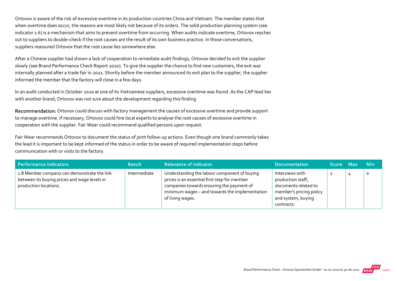Ortovox is aware of the risk of excessive overtime in its production countries China and Vietnam. The member states that when overtime does occur, the reasons are most likely not because of its orders. The solid production planning system (see indicator 1.6) is a mechanism that aims to prevent overtime from occurring. When audits indicate overtime, Ortovox reaches out to suppliers to double‐check if the root causes are the result of its own business practice. In those conversations, suppliers reassured Ortovox that the root cause lies somewhere else.

After a Chinese supplier had shown a lack of cooperation to remediate audit findings, Ortovox decided to exit the supplier slowly (see Brand Performance Check Report 2020). To give the supplier the chance to find new customers, the exit was internally planned after a trade fair in 2021. Shortly before the member announced its exit plan to the supplier, the supplier informed the member that the factory will close in a few days.

In an audit conducted in October 2020 at one of its Vietnamese suppliers, excessive overtime was found. As the CAP lead lies with another brand, Ortovox was not sure about the development regarding this finding.

Recommendation: Ortovox could discuss with factory management the causes of excessive overtime and provide support to manage overtime. If necessary, Ortovox could hire local experts to analyse the root causes of excessive overtime in cooperation with the supplier. Fair Wear could recommend qualified persons upon request.

Fair Wear recommends Ortovox to document the status of joint follow‐up actions. Even though one brand commonly takes the lead it is important to be kept informed of the status in order to be aware of required implementation steps before communication with or visits to the factory.

| Performance indicators                                                                                               | <b>Result</b> | <b>Relevance of Indicator</b>                                                                                                                                                                                   | <b>Documentation</b>                                                                                                        | Score Max | <b>Min</b> |
|----------------------------------------------------------------------------------------------------------------------|---------------|-----------------------------------------------------------------------------------------------------------------------------------------------------------------------------------------------------------------|-----------------------------------------------------------------------------------------------------------------------------|-----------|------------|
| 1.8 Member company can demonstrate the link<br>between its buying prices and wage levels in<br>production locations. | Intermediate  | Understanding the labour component of buying<br>prices is an essential first step for member<br>companies towards ensuring the payment of<br>minimum wages - and towards the implementation<br>of living wages. | Interviews with<br>production staff,<br>documents related to<br>member's pricing policy<br>and system, buying<br>contracts. |           | o          |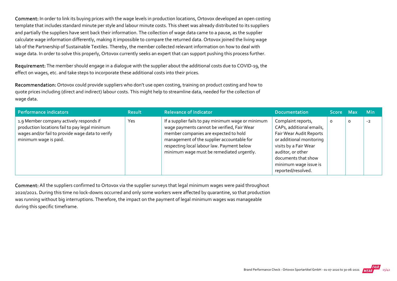Comment: In order to link its buying prices with the wage levels in production locations, Ortovox developed an open costing template that includes standard minute per style and labour minute costs. This sheet was already distributed to its suppliers and partially the suppliers have sent back their information. The collection of wage data came to a pause, as the supplier calculate wage information differently, making it impossible to compare the returned data. Ortovox joined the living wage lab of the Partnership of Sustainable Textiles. Thereby, the member collected relevant information on how to deal with wage data. In order to solve this properly, Ortovox currently seeks an expert that can support pushing this process further.

Requirement: The member should engage in a dialogue with the supplier about the additional costs due to COVID-19, the effect on wages, etc. and take steps to incorporate these additional costs into their prices.

Recommendation: Ortovox could provide suppliers who don't use open costing, training on product costing and how to quote prices including (direct and indirect) labour costs. This might help to streamline data, needed for the collection of wage data.

| Performance indicators                                                                                                                                                 | <b>Result</b> | <b>Relevance of Indicator</b>                                                                                                                                                                                                                                                       | <b>Documentation</b>                                                                                                                                                                                                      | <b>Score Max</b> ' |         | <b>Min</b> |
|------------------------------------------------------------------------------------------------------------------------------------------------------------------------|---------------|-------------------------------------------------------------------------------------------------------------------------------------------------------------------------------------------------------------------------------------------------------------------------------------|---------------------------------------------------------------------------------------------------------------------------------------------------------------------------------------------------------------------------|--------------------|---------|------------|
| 1.9 Member company actively responds if<br>production locations fail to pay legal minimum<br>wages and/or fail to provide wage data to verify<br>minimum wage is paid. | Yes           | If a supplier fails to pay minimum wage or minimum<br>wage payments cannot be verified, Fair Wear<br>member companies are expected to hold<br>management of the supplier accountable for<br>respecting local labour law. Payment below<br>minimum wage must be remediated urgently. | Complaint reports,<br>CAPs, additional emails,<br>Fair Wear Audit Reports<br>or additional monitoring<br>visits by a Fair Wear<br>auditor, or other<br>documents that show<br>minimum wage issue is<br>reported/resolved. | $\circ$            | $\circ$ | $-2$       |

Comment: All the suppliers confirmed to Ortovox via the supplier surveys that legal minimum wages were paid throughout 2020/2021. During this time no lock‐downs occurred and only some workers were affected by quarantine, so that production was running without big interruptions. Therefore, the impact on the payment of legal minimum wages was manageable during this specific timeframe.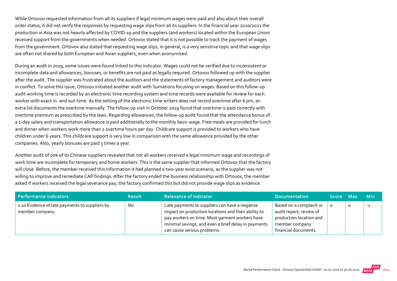While Ortovox requested information from all its suppliers if legal minimum wages were paid and also about their overall order status, it did not verify the responses by requesting wage slips from all its suppliers. In the financial year 2020/2021 the production in Asia was not heavily affected by COVID‐19 and the suppliers (and workers) located within the European Union received support from the governments when needed. Ortovox stated that it is not possible to track the payment of wages from the government. Ortovox also stated that requesting wage slips, in general, is a very sensitive topic and that wage slips are often not shared by both European and Asian suppliers, even when anonymised.

During an audit in 2019, some issues were found linked to this indicator. Wages could not be verified due to inconsistent or incomplete data and allowances, bonuses, or benefits are not paid as legally required. Ortovox followed up with the supplier after the audit. The supplier was frustrated about the auditors and the statements of factory management and auditors were in conflict. To solve this issue, Ortovox initiated another audit with Sumations focusing on wages. Based on this follow‐up audit working time is recorded by an electronic time recording system and time records were available for review for each worker with exact in- and out-time. As the setting of the electronic time writers does not record overtime after 6 pm, an extra list documents the overtime manually. The follow-up visit in October 2019 found that overtime is paid correctly with overtime premium as prescribed by the laws. Regarding allowances, the follow‐up audit found that the attendance bonus of a 1‐day salary and transportation allowance is paid additionally to the monthly basic wage. Free meals are provided for lunch and dinner when workers work more than 2 overtime hours per day. Childcare support is provided to workers who have children under 6 years. This childcare support is very low in comparison with the same allowance provided by the other companies. Also, yearly bonuses are paid 3 times a year.

Another audit of one of its Chinese suppliers revealed that not all workers received a legal minimum wage and recordings of work time are incomplete for temporary and home workers. This is the same supplier that informed Ortovox that the factory will close. Before, the member received this information it had planned a two-year exist scenario, as the supplier was not willing to improve and remediate CAP findings. After the factory ended the business relationship with Ortovox, the member asked if workers received the legal severance pay, the factory confirmed this but did not provide wage slips as evidence.

| Performance indicators                                            | <b>Result</b> | <b>Relevance of Indicator</b>                                                                                                                                                                                                                 | <b>Documentation</b>                                                                                                            | Score Max |   | – Min |
|-------------------------------------------------------------------|---------------|-----------------------------------------------------------------------------------------------------------------------------------------------------------------------------------------------------------------------------------------------|---------------------------------------------------------------------------------------------------------------------------------|-----------|---|-------|
| 1.10 Evidence of late payments to suppliers by<br>member company. | No            | Late payments to suppliers can have a negative<br>impact on production locations and their ability to<br>pay workers on time. Most garment workers have<br>minimal savings, and even a brief delay in payments<br>can cause serious problems. | Based on a complaint or<br>audit report; review of<br>production location and<br>$\perp$ member company<br>financial documents. |           | o | -1    |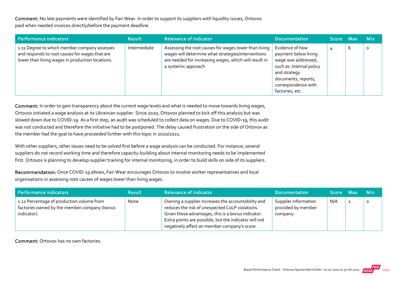Comment: No late payments were identified by Fair Wear. In order to support its suppliers with liquidity issues, Ortovox paid when needed invoices directly/before the payment deadline.

| Performance indicators                                                                                                                             | <b>Result</b> | <b>Relevance of Indicator</b>                                                                                                                                                               | <b>Documentation</b>                                                                                                                                                       | Score Max |   | <b>Min</b> |
|----------------------------------------------------------------------------------------------------------------------------------------------------|---------------|---------------------------------------------------------------------------------------------------------------------------------------------------------------------------------------------|----------------------------------------------------------------------------------------------------------------------------------------------------------------------------|-----------|---|------------|
| 1.11 Degree to which member company assesses<br>and responds to root causes for wages that are<br>lower than living wages in production locations. | Intermediate  | Assessing the root causes for wages lower than living<br>wages will determine what strategies/interventions<br>are needed for increasing wages, which will result in<br>a systemic approach | Evidence of how<br>payment below living<br>wage was addressed,<br>such as: Internal policy<br>and strategy<br>documents, reports,<br>correspondence with<br>factories, etc | 4         | b | $\circ$    |

Comment: In order to gain transparency about the current wage levels and what is needed to move towards living wages, Ortovox initiated a wage analysis at its Ukrainian supplier. Since 2020, Ortovox planned to kick off this analysis but was slowed down due to COVID‐19. As a first step, an audit was scheduled to collect data on wages. Due to COVID‐19, this audit was not conducted and therefore the initiative had to be postponed. The delay caused frustration on the side of Ortovox as the member had the goal to have proceeded further with this topic in 2020/2021.

With other suppliers, other issues need to be solved first before a wage analysis can be conducted. For instance, several suppliers do not record working time and therefore capacity-building about internal monitoring needs to be implemented first. Ortovox is planning to develop supplier training for internal monitoring, in order to build skills on side of its suppliers.

Recommendation: Once COVID‐19 allows, Fair Wear encourages Ortovox to involve worker representatives and local organisations in assessing root causes of wages lower than living wages.

| Performance indicators                                                                                   | <b>Result</b> | <b>Relevance of Indicator</b>                                                                                                                                                                                                                                        | <b>Documentation</b>                                   | Score Max | <b>Min</b> |
|----------------------------------------------------------------------------------------------------------|---------------|----------------------------------------------------------------------------------------------------------------------------------------------------------------------------------------------------------------------------------------------------------------------|--------------------------------------------------------|-----------|------------|
| 1.12 Percentage of production volume from<br>factories owned by the member company (bonus<br>indicator). | None          | Owning a supplier increases the accountability and<br>reduces the risk of unexpected CoLP violations.<br>Given these advantages, this is a bonus indicator.<br>Extra points are possible, but the indicator will not<br>negatively affect an member company's score. | Supplier information<br>provided by member<br>company. | N/A       |            |

Comment: Ortovox has no own factories.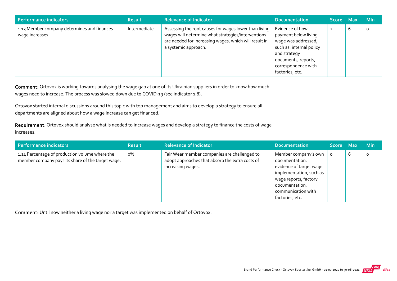| Performance indicators                                         | <b>Result</b> | <b>Relevance of Indicator</b>                                                                                                                                                                | <b>Documentation</b>                                                                                                                                                        | Score Max |   | <b>Min</b> |
|----------------------------------------------------------------|---------------|----------------------------------------------------------------------------------------------------------------------------------------------------------------------------------------------|-----------------------------------------------------------------------------------------------------------------------------------------------------------------------------|-----------|---|------------|
| 1.13 Member company determines and finances<br>wage increases. | Intermediate  | Assessing the root causes for wages lower than living<br>wages will determine what strategies/interventions<br>are needed for increasing wages, which will result in<br>a systemic approach. | Evidence of how<br>payment below living<br>wage was addressed,<br>such as: internal policy<br>and strategy<br>documents, reports,<br>correspondence with<br>factories, etc. |           | b | $\circ$    |

Comment: Ortovox is working towards analysing the wage gap at one of its Ukrainian suppliers in order to know how much wages need to increase. The process was slowed down due to COVID-19 (see indicator 1.8).

Ortovox started internal discussions around this topic with top management and aims to develop a strategy to ensure all departments are aligned about how a wage increase can get financed.

Requirement: Ortovox should analyse what is needed to increase wages and develop a strategy to finance the costs of wage increases.

| Performance indicators                                                                              | <b>Result</b> | <b>Relevance of Indicator</b>                                                                                             | <b>Documentation</b>                                                                                                                                                             | Score Max |   | <b>Min</b> |
|-----------------------------------------------------------------------------------------------------|---------------|---------------------------------------------------------------------------------------------------------------------------|----------------------------------------------------------------------------------------------------------------------------------------------------------------------------------|-----------|---|------------|
| 1.14 Percentage of production volume where the<br>member company pays its share of the target wage. | о%            | Fair Wear member companies are challenged to<br>adopt approaches that absorb the extra costs of<br>$\,$ increasing wages. | Member company's own<br>documentation,<br>evidence of target wage<br>implementation, such as<br>wage reports, factory<br>documentation,<br>communication with<br>factories, etc. |           | ь | $\circ$    |

Comment: Until now neither a living wage nor a target was implemented on behalf of Ortovox.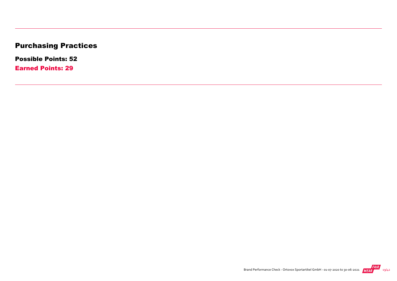# Purchasing Practices

Possible Points: 52

Earned Points: 29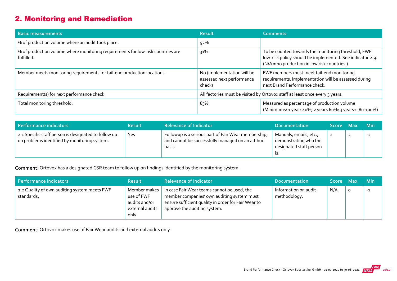# 2. Monitoring and Remediation

| <b>Basic measurements</b>                                                                     | <b>Result</b>                                                     | <b>Comments</b>                                                                                                                                                  |
|-----------------------------------------------------------------------------------------------|-------------------------------------------------------------------|------------------------------------------------------------------------------------------------------------------------------------------------------------------|
| % of production volume where an audit took place.                                             | 52%                                                               |                                                                                                                                                                  |
| % of production volume where monitoring requirements for low-risk countries are<br>fulfilled. | 31%                                                               | To be counted towards the monitoring threshold, FWF<br>low-risk policy should be implemented. See indicator 2.9.<br>(N/A = no production in low risk countries.) |
| Member meets monitoring requirements for tail-end production locations.                       | No (implementation will be<br>assessed next performance<br>check) | FWF members must meet tail-end monitoring<br>requirements. Implementation will be assessed during<br>next Brand Performance check.                               |
| Requirement(s) for next performance check                                                     |                                                                   | All factories must be visited by Ortovox staff at least once every 3 years.                                                                                      |
| Total monitoring threshold:                                                                   | 83%                                                               | Measured as percentage of production volume<br>(Minimums: 1 year: 40%; 2 years 60%; 3 years+: 80-100%)                                                           |

| Performance indicators                                                                               | Result | <b>Relevance of Indicator</b>                                                                                    | <b>Documentation</b>                                                              | Score Max |   | <b>Min</b> |
|------------------------------------------------------------------------------------------------------|--------|------------------------------------------------------------------------------------------------------------------|-----------------------------------------------------------------------------------|-----------|---|------------|
| 2.1 Specific staff person is designated to follow up<br>on problems identified by monitoring system. | Yes    | Followup is a serious part of Fair Wear membership,<br>and cannot be successfully managed on an ad-hoc<br>basis. | Manuals, emails, etc.,<br>demonstrating who the<br>designated staff person<br>.כו |           | 2 | $-2$       |

Comment: Ortovox has a designated CSR team to follow up on findings identified by the monitoring system.

| Performance indicators                                     | <b>Result</b>                                                          | <b>Relevance of Indicator</b>                                                                                                                                                    | <b>Documentation</b>                 | Score Max | <b>Min</b> |
|------------------------------------------------------------|------------------------------------------------------------------------|----------------------------------------------------------------------------------------------------------------------------------------------------------------------------------|--------------------------------------|-----------|------------|
| 2.2 Quality of own auditing system meets FWF<br>standards. | Member makes<br>use of FWF<br>audits and/or<br>external audits<br>only | In case Fair Wear teams cannot be used, the<br>member companies' own auditing system must<br>ensure sufficient quality in order for Fair Wear to<br>approve the auditing system. | Information on audit<br>methodology. | N/A       | $-1$       |

Comment: Ortovox makes use of Fair Wear audits and external audits only.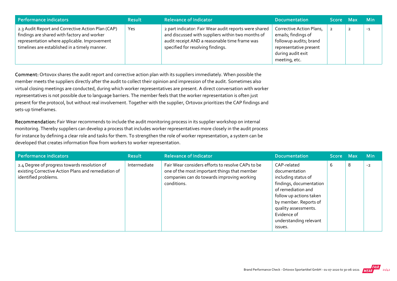| Performance indicators                                                                                                                                                                            | <b>Result</b> | <b>Relevance of Indicator</b>                                                                                                                                                                    | <b>Documentation</b>                                                                                                                      | Score Max | <b>Min</b> |
|---------------------------------------------------------------------------------------------------------------------------------------------------------------------------------------------------|---------------|--------------------------------------------------------------------------------------------------------------------------------------------------------------------------------------------------|-------------------------------------------------------------------------------------------------------------------------------------------|-----------|------------|
| 2.3 Audit Report and Corrective Action Plan (CAP)<br>findings are shared with factory and worker<br>representation where applicable. Improvement<br>timelines are established in a timely manner. | Yes           | 2 part indicator: Fair Wear audit reports were shared<br>and discussed with suppliers within two months of<br>audit receipt AND a reasonable time frame was<br>specified for resolving findings. | Corrective Action Plans,<br>emails; findings of<br>followup audits; brand<br>representative present<br>during audit exit<br>meeting, etc. |           | $-1$       |

Comment: Ortovox shares the audit report and corrective action plan with its suppliers immediately. When possible the member meets the suppliers directly after the audit to collect their opinion and impression of the audit. Sometimes also virtual closing meetings are conducted, during which worker representatives are present. A direct conversation with worker representatives is not possible due to language barriers. The member feels that the worker representation is often just present for the protocol, but without real involvement. Together with the supplier, Ortovox prioritizes the CAP findings and sets‐up timeframes.

Recommendation: Fair Wear recommends to include the audit monitoring process in its supplier workshop on internal monitoring. Thereby suppliers can develop a process that includes worker representatives more closely in the audit process for instance by defining a clear role and tasks for them. To strengthen the role of worker representation, a system can be developed that creates information flow from workers to worker representation.

| <b>Performance indicators</b>                                                                                               | <b>Result</b> | <b>Relevance of Indicator</b>                                                                                                                                  | <b>Documentation</b>                                                                                                                                                                                                                 | Score Max |   | <b>Min</b> |
|-----------------------------------------------------------------------------------------------------------------------------|---------------|----------------------------------------------------------------------------------------------------------------------------------------------------------------|--------------------------------------------------------------------------------------------------------------------------------------------------------------------------------------------------------------------------------------|-----------|---|------------|
| 2.4 Degree of progress towards resolution of<br>existing Corrective Action Plans and remediation of<br>identified problems. | Intermediate  | Fair Wear considers efforts to resolve CAPs to be<br>one of the most important things that member<br>companies can do towards improving working<br>conditions. | CAP-related<br>documentation<br>including status of<br>findings, documentation<br>of remediation and<br>follow up actions taken<br>by member. Reports of<br>quality assessments.<br>Evidence of<br>understanding relevant<br>issues. | 6         | 8 | $-2$       |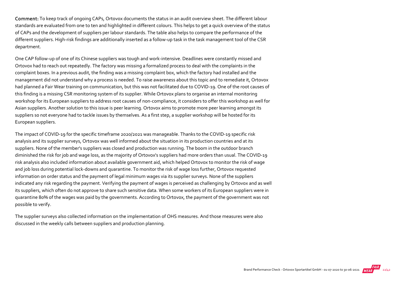Comment: To keep track of ongoing CAPs, Ortovox documents the status in an audit overview sheet. The different labour standards are evaluated from one to ten and highlighted in different colours. This helps to get a quick overview of the status of CAPs and the development of suppliers per labour standards. The table also helps to compare the performance of the different suppliers. High-risk findings are additionally inserted as a follow-up task in the task management tool of the CSR department.

One CAP follow‐up of one of its Chinese suppliers was tough and work‐intensive. Deadlines were constantly missed and Ortovox had to reach out repeatedly. The factory was missing a formalized process to deal with the complaints in the complaint boxes. In a previous audit, the finding was a missing complaint box, which the factory had installed and the management did not understand why a process is needed. To raise awareness about this topic and to remediate it, Ortovox had planned a Fair Wear training on communication, but this was not facilitated due to COVID-19. One of the root causes of this finding is a missing CSR monitoring system of its supplier. While Ortovox plans to organise an internal monitoring workshop for its European suppliers to address root causes of non‐compliance, it considers to offer this workshop as well for Asian suppliers. Another solution to this issue is peer learning. Ortovox aims to promote more peer learning amongst its suppliers so not everyone had to tackle issues by themselves. As a first step, a supplier workshop will be hosted for its European suppliers.

The impact of COVID‐19 for the specific timeframe 2020/2021 was manageable. Thanks to the COVID‐19 specific risk analysis and its supplier surveys, Ortovox was well informed about the situation in its production countries and at its suppliers. None of the member's suppliers was closed and production was running. The boom in the outdoor branch diminished the risk for job and wage loss, as the majority of Ortovox's suppliers had more orders than usual. The COVID‐19 risk analysis also included information about available government aid, which helped Ortovox to monitor the risk of wage and job loss during potential lock-downs and quarantine. To monitor the risk of wage loss further, Ortovox requested information on order status and the payment of legal minimum wages via its supplier surveys. None of the suppliers indicated any risk regarding the payment. Verifying the payment of wages is perceived as challenging by Ortovox and as well its suppliers, which often do not approve to share such sensitive data. When some workers of its European suppliers were in quarantine 80% of the wages was paid by the governments. According to Ortovox, the payment of the government was not possible to verify.

The supplier surveys also collected information on the implementation of OHS measures. And those measures were also discussed in the weekly calls between suppliers and production planning.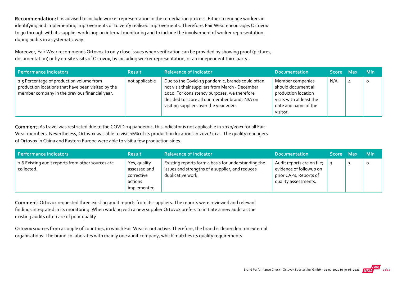Recommendation: It is advised to include worker representation in the remediation process. Either to engage workers in identifying and implementing improvements or to verify realised improvements. Therefore, Fair Wear encourages Ortovox to go through with its supplier workshop on internal monitoring and to include the involvement of worker representation during audits in a systematic way.

Moreover, Fair Wear recommends Ortovox to only close issues when verification can be provided by showing proof (pictures, documentation) or by on‐site visits of Ortovox, by including worker representation, or an independent third party.

| Performance indicators                                                                                                                           | <b>Result</b>  | <b>Relevance of Indicator</b>                                                                                                                                                                                                                  | <b>Documentation</b>                                                                                                           | Score Max | <b>Min</b> |
|--------------------------------------------------------------------------------------------------------------------------------------------------|----------------|------------------------------------------------------------------------------------------------------------------------------------------------------------------------------------------------------------------------------------------------|--------------------------------------------------------------------------------------------------------------------------------|-----------|------------|
| 2.5 Percentage of production volume from<br>production locations that have been visited by the<br>member company in the previous financial year. | not applicable | Due to the Covid-19 pandemic, brands could often<br>not visit their suppliers from March - December<br>2020. For consistency purposes, we therefore<br>decided to score all our member brands N/A on<br>visiting suppliers over the year 2020. | Member companies<br>should document all<br>production location<br>visits with at least the<br>date and name of the<br>visitor. | N/A       |            |

Comment: As travel was restricted due to the COVID‐19 pandemic, this indicator is not applicable in 2020/2021 for all Fair Wear members. Nevertheless, Ortovox was able to visit 16% of its production locations in 2020/2021. The quality managers of Ortovox in China and Eastern Europe were able to visit a few production sides.

| Performance indicators                                          | <b>Result</b>                                                        | <b>Relevance of Indicator</b>                                                                                               | <b>Documentation</b>                                                                                    | <b>Score</b> | Max | <b>Min</b> |
|-----------------------------------------------------------------|----------------------------------------------------------------------|-----------------------------------------------------------------------------------------------------------------------------|---------------------------------------------------------------------------------------------------------|--------------|-----|------------|
| 2.6 Existing audit reports from other sources are<br>collected. | Yes, quality<br>assessed and<br>corrective<br>actions<br>implemented | Existing reports form a basis for understanding the<br>issues and strengths of a supplier, and reduces<br>duplicative work. | Audit reports are on file;<br>evidence of followup on<br>prior CAPs. Reports of<br>quality assessments. |              |     | $\circ$    |

Comment: Ortovox requested three existing audit reports from its suppliers. The reports were reviewed and relevant findings integrated in its monitoring. When working with a new supplier Ortovox prefers to initiate a new audit as the existing audits often are of poor quality.

Ortovox sources from a couple of countries, in which Fair Wear is not active. Therefore, the brand is dependent on external organisations. The brand collaborates with mainly one audit company, which matches its quality requirements.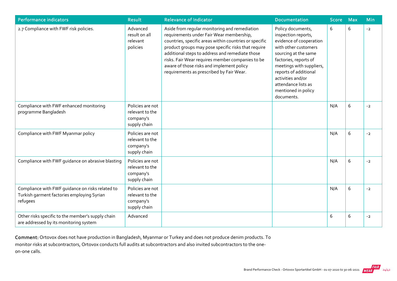| <b>Performance indicators</b>                                                                              | <b>Result</b>                                                    | <b>Relevance of Indicator</b>                                                                                                                                                                                                                                                                                                                                                                              | <b>Documentation</b>                                                                                                                                                                                                                                                               | <b>Score</b> | <b>Max</b> | <b>Min</b> |
|------------------------------------------------------------------------------------------------------------|------------------------------------------------------------------|------------------------------------------------------------------------------------------------------------------------------------------------------------------------------------------------------------------------------------------------------------------------------------------------------------------------------------------------------------------------------------------------------------|------------------------------------------------------------------------------------------------------------------------------------------------------------------------------------------------------------------------------------------------------------------------------------|--------------|------------|------------|
| 2.7 Compliance with FWF risk policies.                                                                     | Advanced<br>result on all<br>relevant<br>policies                | Aside from regular monitoring and remediation<br>requirements under Fair Wear membership,<br>countries, specific areas within countries or specific<br>product groups may pose specific risks that require<br>additional steps to address and remediate those<br>risks. Fair Wear requires member companies to be<br>aware of those risks and implement policy<br>requirements as prescribed by Fair Wear. | Policy documents,<br>inspection reports,<br>evidence of cooperation<br>with other customers<br>sourcing at the same<br>factories, reports of<br>meetings with suppliers,<br>reports of additional<br>activities and/or<br>attendance lists as<br>mentioned in policy<br>documents. | 6            | 6          | $-2$       |
| Compliance with FWF enhanced monitoring<br>programme Bangladesh                                            | Policies are not<br>relevant to the<br>company's<br>supply chain |                                                                                                                                                                                                                                                                                                                                                                                                            |                                                                                                                                                                                                                                                                                    | N/A          | 6          | $-2$       |
| Compliance with FWF Myanmar policy                                                                         | Policies are not<br>relevant to the<br>company's<br>supply chain |                                                                                                                                                                                                                                                                                                                                                                                                            |                                                                                                                                                                                                                                                                                    | N/A          | 6          | $-2$       |
| Compliance with FWF guidance on abrasive blasting                                                          | Policies are not<br>relevant to the<br>company's<br>supply chain |                                                                                                                                                                                                                                                                                                                                                                                                            |                                                                                                                                                                                                                                                                                    | N/A          | 6          | $-2$       |
| Compliance with FWF quidance on risks related to<br>Turkish garment factories employing Syrian<br>refugees | Policies are not<br>relevant to the<br>company's<br>supply chain |                                                                                                                                                                                                                                                                                                                                                                                                            |                                                                                                                                                                                                                                                                                    | N/A          | 6          | $-2$       |
| Other risks specific to the member's supply chain<br>are addressed by its monitoring system                | Advanced                                                         |                                                                                                                                                                                                                                                                                                                                                                                                            |                                                                                                                                                                                                                                                                                    | 6            | 6          | $-2$       |

Comment: Ortovox does not have production in Bangladesh, Myanmar or Turkey and does not produce denim products. To monitor risks at subcontractors, Ortovox conducts full audits at subcontractors and also invited subcontractors to the one‐ on‐one calls.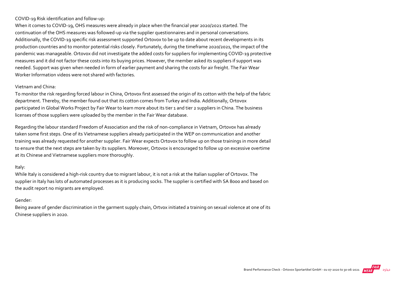#### COVID‐19 Risk identification and follow‐up:

When it comes to COVID-19, OHS measures were already in place when the financial year 2020/2021 started. The continuation of the OHS measures was followed‐up via the supplier questionnaires and in personal conversations. Additionally, the COVID-19 specific risk assessment supported Ortovox to be up to date about recent developments in its production countries and to monitor potential risks closely. Fortunately, during the timeframe 2020/2021, the impact of the pandemic was manageable. Ortovox did not investigate the added costs for suppliers for implementing COVID‐19 protective measures and it did not factor these costs into its buying prices. However, the member asked its suppliers if support was needed. Support was given when needed in form of earlier payment and sharing the costs for air freight. The Fair Wear Worker Information videos were not shared with factories.

#### Vietnam and China:

To monitor the risk regarding forced labour in China, Ortovox first assessed the origin of its cotton with the help of the fabric department. Thereby, the member found out that its cotton comes from Turkey and India. Additionally, Ortovox participated in Global Works Project by Fair Wear to learn more about its tier 1 and tier 2 suppliers in China. The business licenses of those suppliers were uploaded by the member in the Fair Wear database.

Regarding the labour standard Freedom of Association and the risk of non‐compliance in Vietnam, Ortovox has already taken some first steps. One of its Vietnamese suppliers already participated in the WEP on communication and another training was already requested for another supplier. Fair Wear expects Ortovox to follow up on those trainings in more detail to ensure that the next steps are taken by its suppliers. Moreover, Ortovox is encouraged to follow up on excessive overtime at its Chinese and Vietnamese suppliers more thoroughly.

#### Italy:

While Italy is considered a high-risk country due to migrant labour, it is not a risk at the Italian supplier of Ortovox. The supplier in Italy has lots of automated processes as it is producing socks. The supplier is certified with SA 8000 and based on the audit report no migrants are employed.

#### Gender:

Being aware of gender discrimination in the garment supply chain, Ortvox initiated a training on sexual violence at one of its Chinese suppliers in 2020.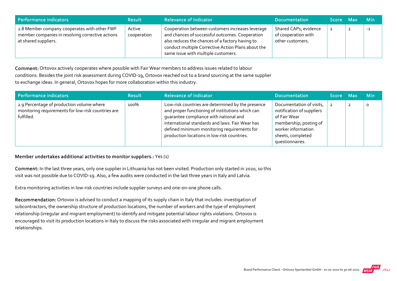| Performance indicators                                                                                                   | <b>Result</b>         | <b>Relevance of Indicator</b>                                                                                                                                                                                                                       | <b>Documentation</b>                                             | Score Max |   | <b>Min</b> |
|--------------------------------------------------------------------------------------------------------------------------|-----------------------|-----------------------------------------------------------------------------------------------------------------------------------------------------------------------------------------------------------------------------------------------------|------------------------------------------------------------------|-----------|---|------------|
| 2.8 Member company cooperates with other FWF<br>member companies in resolving corrective actions<br>at shared suppliers. | Active<br>cooperation | Cooperation between customers increases leverage<br>and chances of successful outcomes. Cooperation<br>also reduces the chances of a factory having to<br>conduct multiple Corrective Action Plans about the<br>same issue with multiple customers. | Shared CAPs, evidence<br>of cooperation with<br>other customers. |           | ∸ | $-1$       |

Comment: Ortovox actively cooperates where possible with Fair Wear members to address issues related to labour conditions. Besides the joint risk assessment during COVID‐19, Ortovox reached out to a brand sourcing at the same supplier to exchange ideas. In general, Ortovox hopes for more collaboration within this industry.

| Performance indicators                                                                                        | <b>Result</b> | <b>Relevance of Indicator</b>                                                                                                                                                                                                                                                                    | <b>Documentation</b>                                                                                                                                          | Score Max |                | ⊟ Min   |
|---------------------------------------------------------------------------------------------------------------|---------------|--------------------------------------------------------------------------------------------------------------------------------------------------------------------------------------------------------------------------------------------------------------------------------------------------|---------------------------------------------------------------------------------------------------------------------------------------------------------------|-----------|----------------|---------|
| 2.9 Percentage of production volume where<br>monitoring requirements for low-risk countries are<br>fulfilled. | 100%          | Low-risk countries are determined by the presence<br>and proper functioning of institutions which can<br>guarantee compliance with national and<br>international standards and laws. Fair Wear has<br>defined minimum monitoring requirements for<br>production locations in low-risk countries. | Documentation of visits,<br>notification of suppliers<br>of Fair Wear<br>membership; posting of<br>worker information<br>sheets, completed<br>questionnaires. |           | $\overline{2}$ | $\circ$ |

#### Member undertakes additional activities to monitor suppliers.: Yes (1)

Comment: In the last three years, only one supplier in Lithuania has not been visited. Production only started in 2020, so this visit was not possible due to COVID‐19. Also, a few audits were conducted in the last three years in Italy and Latvia.

Extra monitoring activities in low-risk countries include supplier surveys and one-on-one phone calls.

Recommendation: Ortovox is advised to conduct a mapping of its supply chain in Italy that includes: investigation of subcontractors, the ownership structure of production locations, the number of workers and the type of employment relationship (irregular and migrant employment) to identify and mitigate potential labour rights violations. Ortovox is encouraged to visit its production locations in Italy to discuss the risks associated with irregular and migrant employment relationships.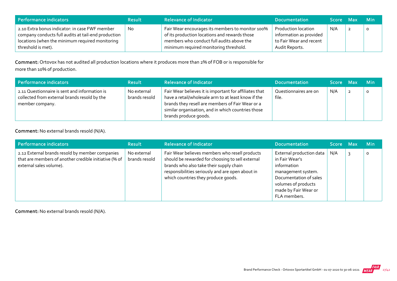| Performance indicators                                                                                                                                                         | <b>Result</b> | <b>Relevance of Indicator</b>                                                                                                                                                            | <b>Documentation</b>                                                                        | <b>Score</b> | Max | – Min   |
|--------------------------------------------------------------------------------------------------------------------------------------------------------------------------------|---------------|------------------------------------------------------------------------------------------------------------------------------------------------------------------------------------------|---------------------------------------------------------------------------------------------|--------------|-----|---------|
| 2.10 Extra bonus indicator: in case FWF member<br>company conducts full audits at tail-end production<br>locations (when the minimum required monitoring<br>threshold is met). | No.           | Fair Wear encourages its members to monitor 100%<br>of its production locations and rewards those<br>members who conduct full audits above the<br>minimum required monitoring threshold. | Production location<br>information as provided<br>to Fair Wear and recent<br>Audit Reports. | N/A          |     | $\circ$ |

Comment: Ortovox has not audited all production locations where it produces more than 2% of FOB or is responsible for more than 10% of production.

| Performance indicators                                                                                           | <b>Result</b>                | <b>Relevance of Indicator</b>                                                                                                                                                                                                                    | <b>Documentation</b>           | Score Max | <b>Min</b> |
|------------------------------------------------------------------------------------------------------------------|------------------------------|--------------------------------------------------------------------------------------------------------------------------------------------------------------------------------------------------------------------------------------------------|--------------------------------|-----------|------------|
| 2.11 Questionnaire is sent and information is<br>collected from external brands resold by the<br>member company. | No external<br>brands resold | Fair Wear believes it is important for affiliates that<br>have a retail/wholesale arm to at least know if the<br>brands they resell are members of Fair Wear or a<br>similar organisation, and in which countries those<br>brands produce goods. | Questionnaires are on<br>file. | N/A       | $\circ$    |

#### Comment: No external brands resold (N/A).

| Performance indicators                                                                                                              | <b>Result</b>                | <b>Relevance of Indicator</b>                                                                                                                                                                                                            | <b>Documentation</b>                                                                                                                                                     | Score Max | Min     |
|-------------------------------------------------------------------------------------------------------------------------------------|------------------------------|------------------------------------------------------------------------------------------------------------------------------------------------------------------------------------------------------------------------------------------|--------------------------------------------------------------------------------------------------------------------------------------------------------------------------|-----------|---------|
| 2.12 External brands resold by member companies<br>that are members of another credible initiative (% of<br>external sales volume). | No external<br>brands resold | Fair Wear believes members who resell products<br>should be rewarded for choosing to sell external<br>brands who also take their supply chain<br>responsibilities seriously and are open about in<br>which countries they produce goods. | External production data<br>in Fair Wear's<br>information<br>management system.<br>Documentation of sales<br>volumes of products<br>made by Fair Wear or<br>FLA members. | N/A       | $\circ$ |

Comment: No external brands resold (N/A).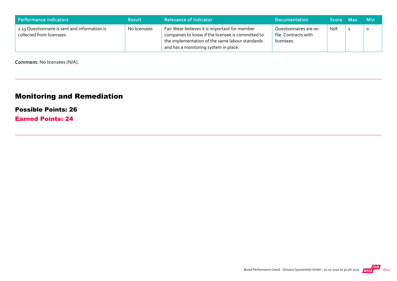| Performance indicators                                                     | <b>Result</b> | <b>Relevance of Indicator</b>                                                                                                                                                                  | <b>Documentation</b>                                        | <b>Score</b> | -Max | - Min |
|----------------------------------------------------------------------------|---------------|------------------------------------------------------------------------------------------------------------------------------------------------------------------------------------------------|-------------------------------------------------------------|--------------|------|-------|
| 2.13 Questionnaire is sent and information is<br>collected from licensees. | No licensees  | Fair Wear believes it is important for member<br>companies to know if the licensee is committed to<br>the implementation of the same labour standards<br>and has a monitoring system in place. | Questionnaires are on<br>file. Contracts with<br>licensees. | N/A          |      |       |

Comment: No licensees (N/A).

# Monitoring and Remediation

#### Possible Points: 26

Earned Points: 24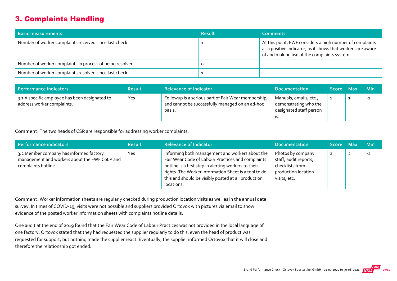# 3. Complaints Handling

| <b>Basic measurements</b>                                 | <b>Result</b> | <b>Comments</b>                                                                                                                                                        |
|-----------------------------------------------------------|---------------|------------------------------------------------------------------------------------------------------------------------------------------------------------------------|
| Number of worker complaints received since last check.    |               | At this point, FWF considers a high number of complaints<br>as a positive indicator, as it shows that workers are aware<br>of and making use of the complaints system. |
| Number of worker complaints in process of being resolved. |               |                                                                                                                                                                        |
| Number of worker complaints resolved since last check.    |               |                                                                                                                                                                        |

| Performance indicators                                                       | <b>Result</b> | <b>Relevance of Indicator</b>                                                                                    | <b>Documentation</b>                                                       | Score Max | <b>Min</b> |
|------------------------------------------------------------------------------|---------------|------------------------------------------------------------------------------------------------------------------|----------------------------------------------------------------------------|-----------|------------|
| 3.1 A specific employee has been designated to<br>address worker complaints. | Yes           | Followup is a serious part of Fair Wear membership,<br>and cannot be successfully managed on an ad-hoc<br>basis. | Manuals, emails, etc.,<br>demonstrating who the<br>designated staff person |           | $-1$       |

Comment: The two heads of CSR are responsible for addressing worker complaints.

| Performance indicators                                                                                          | <b>Result</b> | <b>Relevance of Indicator</b>                                                                                                                                                                                                                                                             | <b>Documentation</b>                                                                                 | Score Max      | <b>Min</b> |
|-----------------------------------------------------------------------------------------------------------------|---------------|-------------------------------------------------------------------------------------------------------------------------------------------------------------------------------------------------------------------------------------------------------------------------------------------|------------------------------------------------------------------------------------------------------|----------------|------------|
| 3.2 Member company has informed factory<br>management and workers about the FWF CoLP and<br>complaints hotline. | Yes           | Informing both management and workers about the<br>Fair Wear Code of Labour Practices and complaints<br>hotline is a first step in alerting workers to their<br>rights. The Worker Information Sheet is a tool to do<br>this and should be visibly posted at all production<br>locations. | Photos by company<br>staff, audit reports,<br>checklists from<br>production location<br>visits, etc. | $\overline{2}$ | $-2$       |

Comment: Worker information sheets are regularly checked during production location visits as well as in the annual data survey. In times of COVID‐19, visits were not possible and suppliers provided Ortovox with pictures via email to show evidence of the posted worker information sheets with complaints hotline details.

One audit at the end of 2019 found that the Fair Wear Code of Labour Practices was not provided in the local language of one factory. Ortovox stated that they had requested the supplier regularly to do this, even the head of product was requested for support, but nothing made the supplier react. Eventually, the supplier informed Ortovox that it will close and therefore the relationship got ended.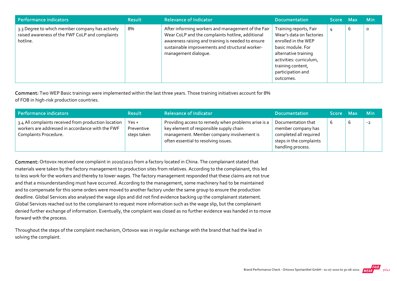| <b>Performance indicators</b>                                                                                  | <b>Result</b> | <b>Relevance of Indicator</b>                                                                                                                                                                                                           | <b>Documentation</b>                                                                                                                                                                                     | <b>Score</b> | <b>Max</b> | <b>Min</b> |
|----------------------------------------------------------------------------------------------------------------|---------------|-----------------------------------------------------------------------------------------------------------------------------------------------------------------------------------------------------------------------------------------|----------------------------------------------------------------------------------------------------------------------------------------------------------------------------------------------------------|--------------|------------|------------|
| 3.3 Degree to which member company has actively<br>raised awareness of the FWF CoLP and complaints<br>hotline. | 8%            | After informing workers and management of the Fair<br>Wear CoLP and the complaints hotline, additional<br>awareness raising and training is needed to ensure<br>sustainable improvements and structural worker-<br>management dialogue. | Training reports, Fair<br>Wear's data on factories<br>enrolled in the WEP<br>basic module. For<br>alternative training<br>activities: curriculum,<br>training content,<br>participation and<br>outcomes. | 4            | ь          | 0          |

Comment: Two WEP Basic trainings were implemented within the last three years. Those training initiatives account for 8%

of FOB in high‐risk production countries.

| Performance indicators                                                                                                            | <b>Result</b>                        | <b>Relevance of Indicator</b>                                                                                                                                                       | <b>Documentation</b>                                                                                               | Score Max | <b>Min</b> |
|-----------------------------------------------------------------------------------------------------------------------------------|--------------------------------------|-------------------------------------------------------------------------------------------------------------------------------------------------------------------------------------|--------------------------------------------------------------------------------------------------------------------|-----------|------------|
| 3.4 All complaints received from production location<br>workers are addressed in accordance with the FWF<br>Complaints Procedure. | $Yes +$<br>Preventive<br>steps taken | Providing access to remedy when problems arise is a<br>key element of responsible supply chain<br>management. Member company involvement is<br>often essential to resolving issues. | Documentation that<br>member company has<br>completed all required<br>steps in the complaints<br>handling process. |           | $-2$       |

Comment: Ortovox received one complaint in 2020/2021 from a factory located in China. The complainant stated that materials were taken by the factory management to production sites from relatives. According to the complainant, this led to less work for the workers and thereby to lower wages. The factory management responded that these claims are not true and that a misunderstanding must have occurred. According to the management, some machinery had to be maintained and to compensate for this some orders were moved to another factory under the same group to ensure the production deadline. Global Services also analysed the wage slips and did not find evidence backing up the complainant statement. Global Services reached out to the complainant to request more information such as the wage slip, but the complainant denied further exchange of information. Eventually, the complaint was closed as no further evidence was handed in to move forward with the process.

Throughout the steps of the complaint mechanism, Ortovox was in regular exchange with the brand that had the lead in solving the complaint.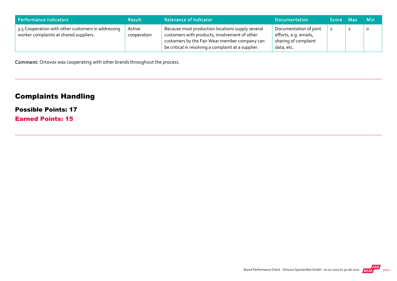| Performance indicators                                                                       | <b>Result</b>         | <b>Relevance of Indicator</b>                                                                                                                                                                             | <b>Documentation</b>                                                                  | Score Max | Min     |
|----------------------------------------------------------------------------------------------|-----------------------|-----------------------------------------------------------------------------------------------------------------------------------------------------------------------------------------------------------|---------------------------------------------------------------------------------------|-----------|---------|
| 3.5 Cooperation with other customers in addressing<br>worker complaints at shared suppliers. | Active<br>cooperation | Because most production locations supply several<br>customers with products, involvement of other<br>customers by the Fair Wear member company can<br>be critical in resolving a complaint at a supplier. | Documentation of joint<br>efforts, e.g. emails,<br>sharing of complaint<br>data, etc. |           | $\circ$ |

Comment: Ortovox was cooperating with other brands throughout the process.

# Complaints Handling

## Possible Points: 17

Earned Points: 15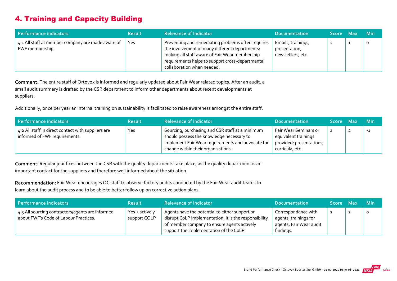# 4. Training and Capacity Building

| Performance indicators                                               | <b>Result</b> | <b>Relevance of Indicator</b>                                                                                                                                                                                                            | <b>Documentation</b>                                     | Score Max | <b>Min</b> |
|----------------------------------------------------------------------|---------------|------------------------------------------------------------------------------------------------------------------------------------------------------------------------------------------------------------------------------------------|----------------------------------------------------------|-----------|------------|
| 4.1 All staff at member company are made aware of<br>FWF membership. | Yes           | Preventing and remediating problems often requires<br>the involvement of many different departments;<br>making all staff aware of Fair Wear membership<br>requirements helps to support cross-departmental<br>collaboration when needed. | Emails, trainings,<br>presentation,<br>newsletters, etc. |           | O          |

Comment: The entire staff of Ortovox is informed and regularly updated about Fair Wear related topics. After an audit, a small audit summary is drafted by the CSR department to inform other departments about recent developments at suppliers.

Additionally, once per year an internal training on sustainability is facilitated to raise awareness amongst the entire staff.

| Performance indicators                                                              | <b>Result</b> | <b>Relevance of Indicator</b>                                                                                                                                                           | <b>Documentation</b>                                                                         | Score Max |   | <b>Min</b> |
|-------------------------------------------------------------------------------------|---------------|-----------------------------------------------------------------------------------------------------------------------------------------------------------------------------------------|----------------------------------------------------------------------------------------------|-----------|---|------------|
| 4.2 All staff in direct contact with suppliers are<br>informed of FWF requirements. | Yes           | Sourcing, purchasing and CSR staff at a minimum<br>should possess the knowledge necessary to<br>implement Fair Wear requirements and advocate for<br>change within their organisations. | Fair Wear Seminars or<br>equivalent trainings<br>provided; presentations,<br>curricula, etc. |           | ∼ | $-1$       |

Comment: Regular jour fixes between the CSR with the quality departments take place, as the quality department is an important contact for the suppliers and therefore well informed about the situation.

Recommendation: Fair Wear encourages QC staff to observe factory audits conducted by the Fair Wear audit teams to learn about the audit process and to be able to better follow up on corrective action plans.

| Performance indicators                                                                    | <b>Result</b>                  | <b>Relevance of Indicator</b>                                                                                                                                                                     | <b>Documentation</b>                                                                 | Score Max | - Min   |
|-------------------------------------------------------------------------------------------|--------------------------------|---------------------------------------------------------------------------------------------------------------------------------------------------------------------------------------------------|--------------------------------------------------------------------------------------|-----------|---------|
| 4.3 All sourcing contractors/agents are informed<br>about FWF's Code of Labour Practices. | Yes + actively<br>support COLP | Agents have the potential to either support or<br>disrupt CoLP implementation. It is the responsibility<br>of member company to ensure agents actively<br>support the implementation of the CoLP. | Correspondence with<br>agents, trainings for<br>agents, Fair Wear audit<br>findings. |           | $\circ$ |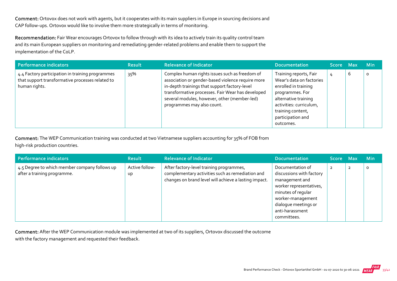Comment: Ortovox does not work with agents, but it cooperates with its main suppliers in Europe in sourcing decisions and CAP follow‐ups. Ortovox would like to involve them more strategically in terms of monitoring.

Recommendation: Fair Wear encourages Ortovox to follow through with its idea to actively train its quality control team and its main European suppliers on monitoring and remediating gender‐related problems and enable them to support the implementation of the CoLP.

| Performance indicators                                                                                                | <b>Result</b> | <b>Relevance of Indicator</b>                                                                                                                                                                                                                                                           | <b>Documentation</b>                                                                                                                                                                                    | Score Max |   | <b>Min</b> |
|-----------------------------------------------------------------------------------------------------------------------|---------------|-----------------------------------------------------------------------------------------------------------------------------------------------------------------------------------------------------------------------------------------------------------------------------------------|---------------------------------------------------------------------------------------------------------------------------------------------------------------------------------------------------------|-----------|---|------------|
| 4.4 Factory participation in training programmes<br>that support transformative processes related to<br>human rights. | 35%           | Complex human rights issues such as freedom of<br>association or gender-based violence require more<br>in-depth trainings that support factory-level<br>transformative processes. Fair Wear has developed<br>several modules, however, other (member-led)<br>programmes may also count. | Training reports, Fair<br>Wear's data on factories<br>enrolled in training<br>programmes. For<br>alternative training<br>activities: curriculum,<br>training content,<br>participation and<br>outcomes. | 4         | 6 | O          |

Comment: The WEP Communication training was conducted at two Vietnamese suppliers accounting for 35% of FOB from

high-risk production countries.

| Performance indicators                                                       | <b>Result</b>        | <b>Relevance of Indicator</b>                                                                                                                         | <b>Documentation</b>                                                                                                                                                                           | Score Max      |                | <b>Min</b> |
|------------------------------------------------------------------------------|----------------------|-------------------------------------------------------------------------------------------------------------------------------------------------------|------------------------------------------------------------------------------------------------------------------------------------------------------------------------------------------------|----------------|----------------|------------|
| 4.5 Degree to which member company follows up<br>after a training programme. | Active follow-<br>Up | After factory-level training programmes,<br>complementary activities such as remediation and<br>changes on brand level will achieve a lasting impact. | Documentation of<br>discussions with factory<br>management and<br>worker representatives,<br>minutes of regular<br>worker-management<br>dialogue meetings or<br>anti-harassment<br>committees. | $\overline{2}$ | $\overline{2}$ | 0          |

Comment: After the WEP Communication module was implemented at two of its suppliers, Ortovox discussed the outcome with the factory management and requested their feedback.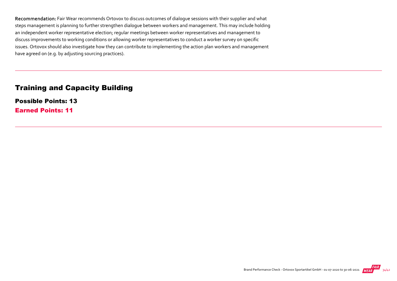Recommendation: Fair Wear recommends Ortovox to discuss outcomes of dialogue sessions with their supplier and what steps management is planning to further strengthen dialogue between workers and management. This may include holding an independent worker representative election; regular meetings between worker representatives and management to discuss improvements to working conditions or allowing worker representatives to conduct a worker survey on specific issues. Ortovox should also investigate how they can contribute to implementing the action plan workers and management have agreed on (e.g. by adjusting sourcing practices).

### Training and Capacity Building

Possible Points: 13 Earned Points: 11

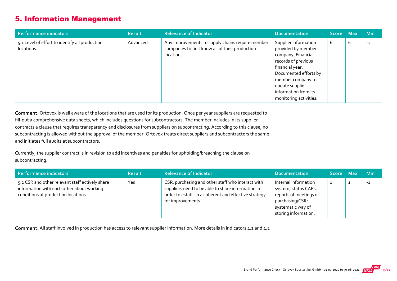## 5. Information Management

| Performance indicators                                       | <b>Result</b> | <b>Relevance of Indicator</b>                                                                                     | <b>Documentation</b>                                                                                                                                                                                                          | Score Max |   | <b>Min</b> |
|--------------------------------------------------------------|---------------|-------------------------------------------------------------------------------------------------------------------|-------------------------------------------------------------------------------------------------------------------------------------------------------------------------------------------------------------------------------|-----------|---|------------|
| 5.1 Level of effort to identify all production<br>locations. | Advanced      | Any improvements to supply chains require member<br>companies to first know all of their production<br>locations. | Supplier information<br>provided by member<br>company. Financial<br>records of previous<br>financial year.<br>Documented efforts by<br>member company to<br>update supplier<br>information from its<br>monitoring activities. | b         | 6 | $-2$       |

Comment: Ortovox is well aware of the locations that are used for its production. Once per year suppliers are requested to fill-out a comprehensive data sheets, which includes questions for subcontractors. The member includes in its supplier contracts a clause that requires transparency and disclosures from suppliers on subcontracting. According to this clause, no subcontracting is allowed without the approval of the member. Ortovox treats direct suppliers and subcontractors the same and initiates full audits at subcontractors.

Currently, the supplier contract is in revision to add incentives and penalties for upholding/breaching the clause on subcontracting.

| Performance indicators                                                                                                              | <b>Result</b> | <b>Relevance of Indicator</b>                                                                                                                                                       | <b>Documentation</b>                                                                                                                   | Score Max | <b>Min</b> |
|-------------------------------------------------------------------------------------------------------------------------------------|---------------|-------------------------------------------------------------------------------------------------------------------------------------------------------------------------------------|----------------------------------------------------------------------------------------------------------------------------------------|-----------|------------|
| 5.2 CSR and other relevant staff actively share<br>information with each other about working<br>conditions at production locations. | Yes           | CSR, purchasing and other staff who interact with<br>suppliers need to be able to share information in<br>order to establish a coherent and effective strategy<br>for improvements. | Internal information<br>system; status CAPs,<br>reports of meetings of<br>purchasing/CSR;<br>systematic way of<br>storing information. |           | $-1$       |

Comment: All staff involved in production has access to relevant supplier information. More details in indicators 4.1 and 4.2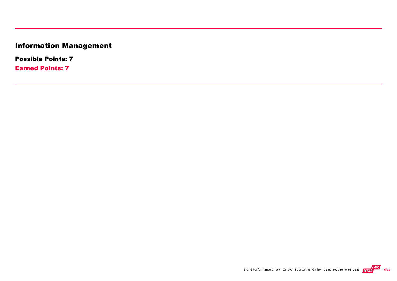# Information Management

Possible Points: 7

Earned Points: 7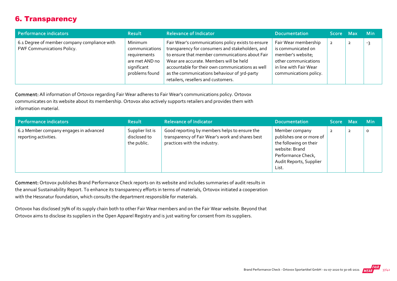# 6. Transparency

| Performance indicators                                                            | <b>Result</b>                                                                                | <b>Relevance of Indicator</b>                                                                                                                                                                                                                                                                                                                   | <b>Documentation</b>                                                                                                                        | Score Max | <b>Min</b> |
|-----------------------------------------------------------------------------------|----------------------------------------------------------------------------------------------|-------------------------------------------------------------------------------------------------------------------------------------------------------------------------------------------------------------------------------------------------------------------------------------------------------------------------------------------------|---------------------------------------------------------------------------------------------------------------------------------------------|-----------|------------|
| 6.1 Degree of member company compliance with<br><b>FWF Communications Policy.</b> | Minimum<br>communications<br>requirements<br>are met AND no<br>significant<br>problems found | Fair Wear's communications policy exists to ensure<br>transparency for consumers and stakeholders, and<br>to ensure that member communications about Fair<br>Wear are accurate. Members will be held<br>accountable for their own communications as well<br>as the communications behaviour of 3rd-party<br>retailers, resellers and customers. | Fair Wear membership<br>is communicated on<br>member's website;<br>other communications<br>in line with Fair Wear<br>communications policy. |           | -3         |

Comment: All information of Ortovox regarding Fair Wear adheres to Fair Wear's communications policy. Ortovox communicates on its website about its membership. Ortovox also actively supports retailers and provides them with information material.

| Performance indicators                                          | <b>Result</b>                                   | <b>Relevance of Indicator</b>                                                                                                     | <b>Documentation</b>                                                                                                                             | Score Max | Min     |
|-----------------------------------------------------------------|-------------------------------------------------|-----------------------------------------------------------------------------------------------------------------------------------|--------------------------------------------------------------------------------------------------------------------------------------------------|-----------|---------|
| 6.2 Member company engages in advanced<br>reporting activities. | Supplier list is<br>disclosed to<br>the public. | Good reporting by members helps to ensure the<br>transparency of Fair Wear's work and shares best<br>practices with the industry. | Member company<br>publishes one or more of<br>the following on their<br>website: Brand<br>Performance Check,<br>Audit Reports, Supplier<br>List. |           | $\circ$ |

Comment: Ortovox publishes Brand Performance Check reports on its website and includes summaries of audit results in the annual Sustainability Report. To enhance its transparency efforts in terms of materials, Ortovox initiated a cooperation with the Hessnatur foundation, which consults the department responsible for materials.

Ortovox has disclosed 79% of its supply chain both to other Fair Wear members and on the Fair Wear website. Beyond that Ortovox aims to disclose its suppliers in the Open Apparel Registry and is just waiting for consent from its suppliers.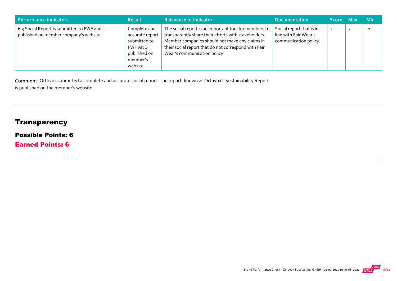| Performance indicators                                                                 | <b>Result</b>                                                                                      | <b>Relevance of Indicator</b>                                                                                                                                                                                                                           | <b>Documentation</b>                                                       | Score Max      | <b>Min</b> |
|----------------------------------------------------------------------------------------|----------------------------------------------------------------------------------------------------|---------------------------------------------------------------------------------------------------------------------------------------------------------------------------------------------------------------------------------------------------------|----------------------------------------------------------------------------|----------------|------------|
| 6.3 Social Report is submitted to FWF and is<br>published on member company's website. | Complete and<br>accurate report<br>submitted to<br>FWF AND<br>published on<br>member's<br>website. | The social report is an important tool for members to<br>transparently share their efforts with stakeholders.<br>Member companies should not make any claims in<br>their social report that do not correspond with Fair<br>Wear's communication policy. | Social report that is in<br>line with Fair Wear's<br>communication policy. | $\overline{2}$ | $-1$       |

Comment: Ortovox submitted a complete and accurate social report. The report, known as Ortovox's Sustainability Report is published on the member's website.

# **Transparency**

#### Possible Points: 6

Earned Points: 6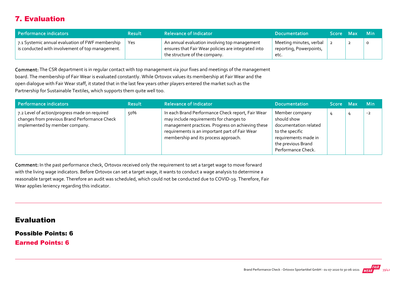# 7. Evaluation

| Performance indicators                                                                               | <b>Result</b> | <b>Relevance of Indicator</b>                                                                                                         | <b>Documentation</b>                                       | <b>Score</b> | - Max | - Min   |
|------------------------------------------------------------------------------------------------------|---------------|---------------------------------------------------------------------------------------------------------------------------------------|------------------------------------------------------------|--------------|-------|---------|
| 7.1 Systemic annual evaluation of FWF membership<br>is conducted with involvement of top management. | Yes           | An annual evaluation involving top management<br>ensures that Fair Wear policies are integrated into<br>the structure of the company. | Meeting minutes, verbal<br>reporting, Powerpoints,<br>etc. |              | ▴     | $\circ$ |

Comment: The CSR department is in regular contact with top management via jour fixes and meetings of the management board. The membership of Fair Wear is evaluated constantly. While Ortovox values its membership at Fair Wear and the open dialogue with Fair Wear staff, it stated that in the last few years other players entered the market such as the Partnership for Sustainable Textiles, which supports them quite well too.

| Performance indicators                                                                                                           | <b>Result</b> | <b>Relevance of Indicator</b>                                                                                                                                                                                                               | <b>Documentation</b>                                                                                                                          | Score Max | <b>Min</b> |
|----------------------------------------------------------------------------------------------------------------------------------|---------------|---------------------------------------------------------------------------------------------------------------------------------------------------------------------------------------------------------------------------------------------|-----------------------------------------------------------------------------------------------------------------------------------------------|-----------|------------|
| 7.2 Level of action/progress made on required<br>changes from previous Brand Performance Check<br>implemented by member company. | 50%           | In each Brand Performance Check report, Fair Wear<br>may include requirements for changes to<br>management practices. Progress on achieving these<br>requirements is an important part of Fair Wear<br>membership and its process approach. | Member company<br>should show<br>documentation related<br>to the specific<br>requirements made in<br>the previous Brand<br>Performance Check. |           | $-2$       |

Comment: In the past performance check, Ortovox received only the requirement to set a target wage to move forward with the living wage indicators. Before Ortovox can set a target wage, it wants to conduct a wage analysis to determine a reasonable target wage. Therefore an audit was scheduled, which could not be conducted due to COVID‐19. Therefore, Fair Wear applies leniency regarding this indicator.

Evaluation

Possible Points: 6

Earned Points: 6

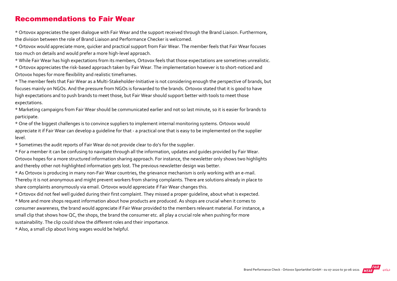### Recommendations to Fair Wear

\* Ortovox appreciates the open dialogue with Fair Wear and the support received through the Brand Liaison. Furthermore, the division between the role of Brand Liaison and Performance Checker is welcomed.

\* Ortovox would appreciate more, quicker and practical support from Fair Wear. The member feels that Fair Wear focuses too much on details and would prefer a more high‐level approach.

\* While Fair Wear has high expectations from its members, Ortovox feels that those expectations are sometimes unrealistic. \* Ortovox appreciates the risk‐based approach taken by Fair Wear. The implementation however is to short‐noticed and Ortovox hopes for more flexibility and realistic timeframes.

\* The member feels that Fair Wear as a Multi‐Stakeholder‐Initiative is not considering enough the perspective of brands, but focuses mainly on NGOs. And the pressure from NGOs is forwarded to the brands. Ortovox stated that it is good to have high expectations and to push brands to meet those, but Fair Wear should support better with tools to meet those expectations.

\* Marketing campaigns from Fair Wear should be communicated earlier and not so last minute, so it is easier for brands to participate.

\* One of the biggest challenges is to convince suppliers to implement internal monitoring systems. Ortovox would appreciate it if Fair Wear can develop a quideline for that - a practical one that is easy to be implemented on the supplier level.

\* Sometimes the audit reports of Fair Wear do not provide clear to do's for the supplier.

\* For a member it can be confusing to navigate through all the information, updates and guides provided by Fair Wear. Ortovox hopes for a more structured information sharing approach. For instance, the newsletter only shows two highlights and thereby other not-highlighted information gets lost. The previous newsletter design was better.

\* As Ortovox is producing in many non‐Fair Wear countries, the grievance mechanism is only working with an e‐mail. Thereby it is not anonymous and might prevent workers from sharing complaints. There are solutions already in place to share complaints anonymously via email. Ortovox would appreciate if Fair Wear changes this.

\* Ortovox did not feel well guided during their first complaint. They missed a proper guideline, about what is expected. \* More and more shops request information about how products are produced. As shops are crucial when it comes to consumer awareness, the brand would appreciate if Fair Wear provided to the members relevant material. For instance, a small clip that shows how QC, the shops, the brand the consumer etc. all play a crucial role when pushing for more sustainability. The clip could show the different roles and their importance.

\* Also, a small clip about living wages would be helpful.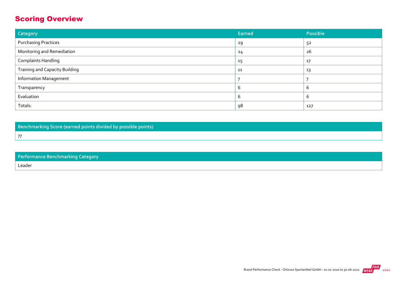# Scoring Overview

| Category                              | <b>Earned</b> | Possible   |
|---------------------------------------|---------------|------------|
| <b>Purchasing Practices</b>           | 29            | 52         |
| Monitoring and Remediation            | 24            | 26         |
| <b>Complaints Handling</b>            | 15            | 17         |
| <b>Training and Capacity Building</b> | 11            | 13         |
| <b>Information Management</b>         |               |            |
| Transparency                          | b             | $\epsilon$ |
| Evaluation                            | b             | $\sigma$   |
| Totals:                               | 98            | 127        |

Benchmarking Score (earned points divided by possible points)

Performance Benchmarking Category Leader

77